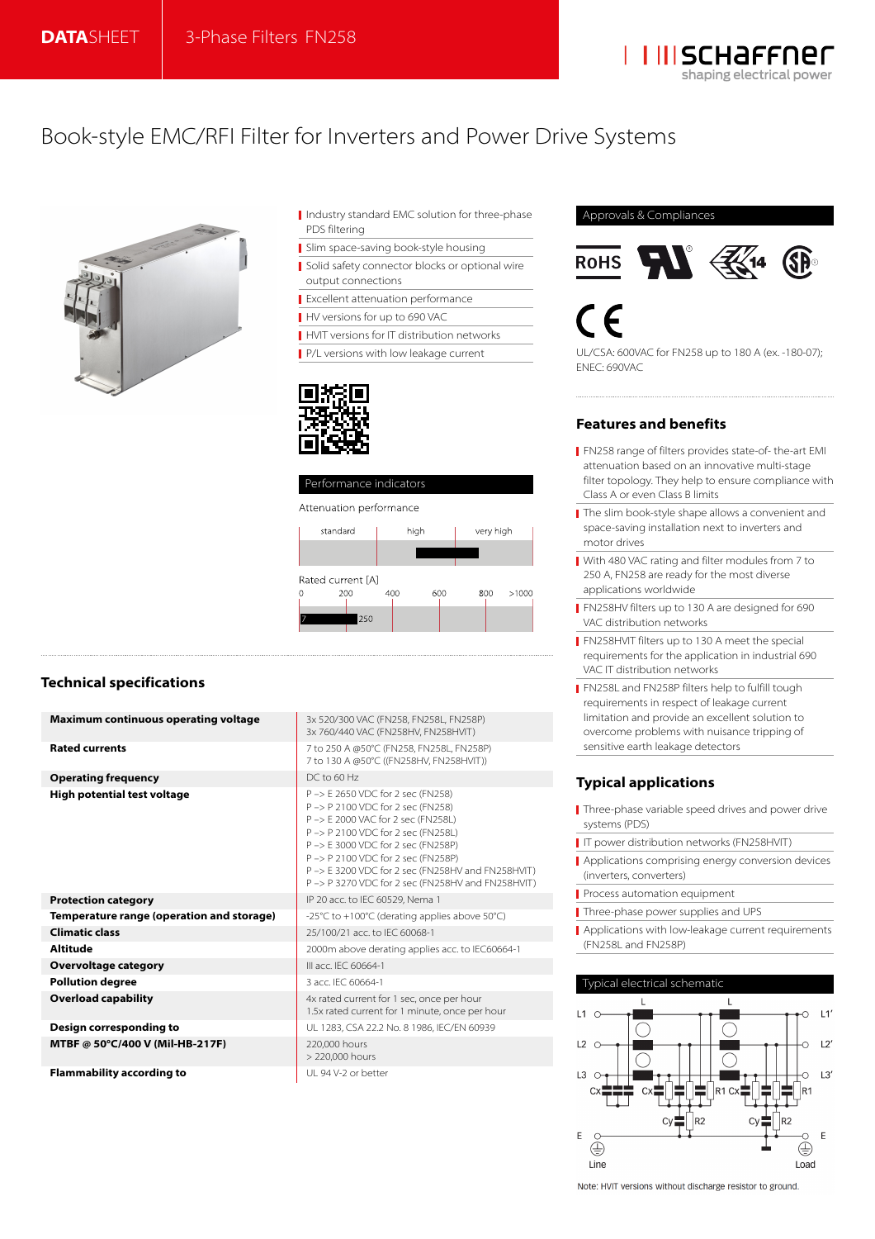

## Book-style EMC/RFI Filter for Inverters and Power Drive Systems



- I Industry standard EMC solution for three-phase PDS filtering
- Slim space-saving book-style housing
- Solid safety connector blocks or optional wire output connections
- Excellent attenuation performance
- HV versions for up to 690 VAC
- **HVIT versions for IT distribution networks**
- P/L versions with low leakage current
- 



## **Technical specifications**

| <b>Maximum continuous operating voltage</b> | 3x 520/300 VAC (FN258, FN258L, FN258P)<br>3x 760/440 VAC (FN258HV, FN258HVIT)                                                                                                                                                                                                                                                          |
|---------------------------------------------|----------------------------------------------------------------------------------------------------------------------------------------------------------------------------------------------------------------------------------------------------------------------------------------------------------------------------------------|
| <b>Rated currents</b>                       | 7 to 250 A @50°C (FN258, FN258L, FN258P)<br>7 to 130 A @50°C ((FN258HV, FN258HVIT))                                                                                                                                                                                                                                                    |
| <b>Operating frequency</b>                  | $DC$ to 60 Hz                                                                                                                                                                                                                                                                                                                          |
| <b>High potential test voltage</b>          | P -> E 2650 VDC for 2 sec (FN258)<br>P -> P 2100 VDC for 2 sec (FN258)<br>P -> E 2000 VAC for 2 sec (FN258L)<br>P -> P 2100 VDC for 2 sec (FN258L)<br>P -> E 3000 VDC for 2 sec (FN258P)<br>P-> P 2100 VDC for 2 sec (FN258P)<br>P -> E 3200 VDC for 2 sec (FN258HV and FN258HVIT)<br>P-> P 3270 VDC for 2 sec (FN258HV and FN258HVIT) |
| <b>Protection category</b>                  | IP 20 acc. to IEC 60529, Nema 1                                                                                                                                                                                                                                                                                                        |
| Temperature range (operation and storage)   | -25°C to +100°C (derating applies above 50°C)                                                                                                                                                                                                                                                                                          |
| <b>Climatic class</b>                       | 25/100/21 acc. to IEC 60068-1                                                                                                                                                                                                                                                                                                          |
| <b>Altitude</b>                             | 2000m above derating applies acc. to IEC60664-1                                                                                                                                                                                                                                                                                        |
| <b>Overvoltage category</b>                 | III acc. IEC 60664-1                                                                                                                                                                                                                                                                                                                   |
| <b>Pollution degree</b>                     | 3 acc. IEC 60664-1                                                                                                                                                                                                                                                                                                                     |
| <b>Overload capability</b>                  | 4x rated current for 1 sec, once per hour<br>1.5x rated current for 1 minute, once per hour                                                                                                                                                                                                                                            |
| Design corresponding to                     | UL 1283, CSA 22.2 No. 8 1986, IEC/EN 60939                                                                                                                                                                                                                                                                                             |
| MTBF @ 50°C/400 V (Mil-HB-217F)             | 220,000 hours<br>> 220,000 hours                                                                                                                                                                                                                                                                                                       |
| <b>Flammability according to</b>            | UI 94 V-2 or better                                                                                                                                                                                                                                                                                                                    |

#### Approvals & Compliances





UL/CSA: 600VAC for FN258 up to 180 A (ex. -180-07); ENEC: 690VAC

#### **Features and benefits**

- FN258 range of filters provides state-of- the-art EMI attenuation based on an innovative multi-stage filter topology. They help to ensure compliance with Class A or even Class B limits
- The slim book-style shape allows a convenient and space-saving installation next to inverters and motor drives
- With 480 VAC rating and filter modules from 7 to 250 A, FN258 are ready for the most diverse applications worldwide
- FN258HV filters up to 130 A are designed for 690 VAC distribution networks
- **FN258HVIT filters up to 130 A meet the special** requirements for the application in industrial 690 VAC IT distribution networks
- **FN258L and FN258P filters help to fulfill tough** requirements in respect of leakage current limitation and provide an excellent solution to overcome problems with nuisance tripping of sensitive earth leakage detectors

## **Typical applications**

- Three-phase variable speed drives and power drive systems (PDS)
- IT power distribution networks (FN258HVIT)
- Applications comprising energy conversion devices (inverters, converters)
- Process automation equipment
- Three-phase power supplies and UPS
- Applications with low-leakage current requirements (FN258L and FN258P)



Note: HVIT versions without discharge resistor to ground.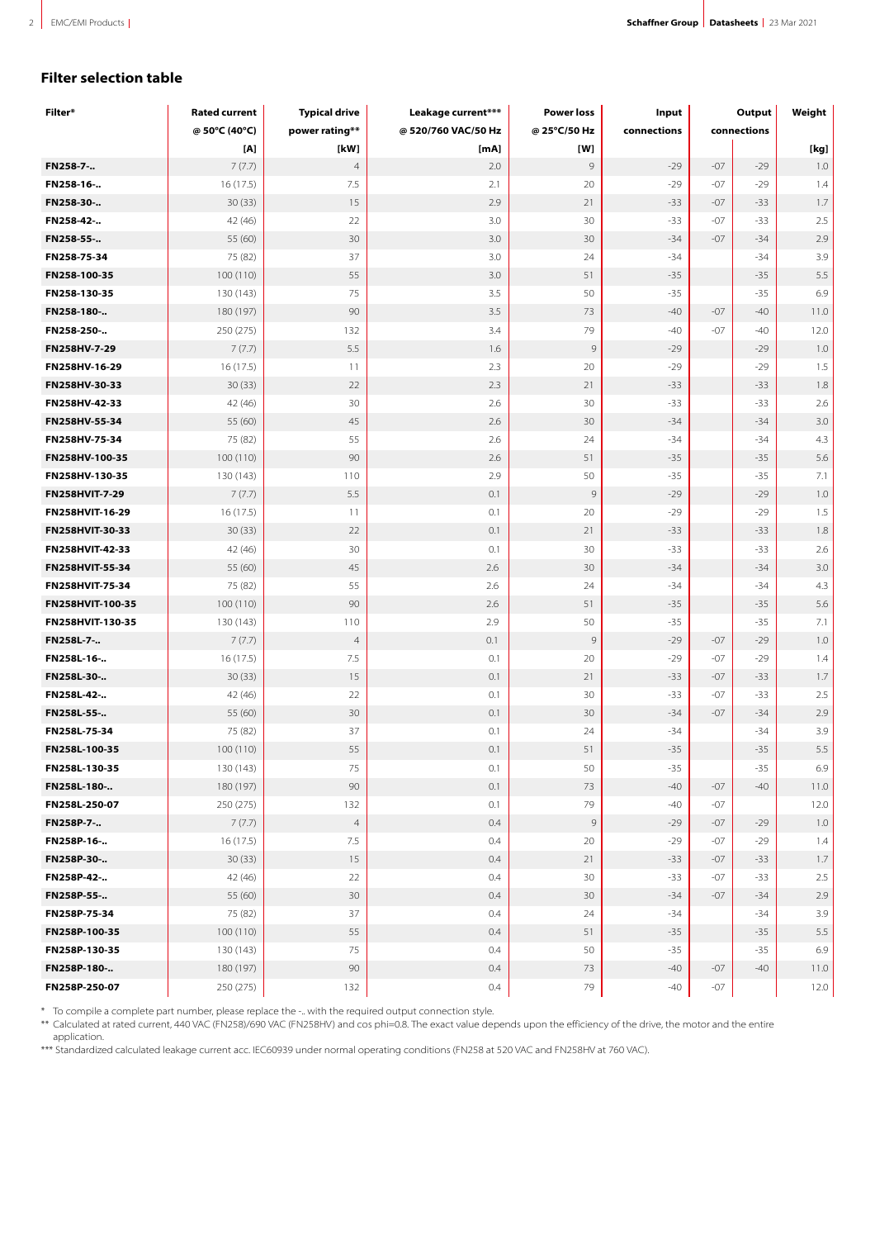## **Filter selection table**

| Filter*          | <b>Rated current</b> | <b>Typical drive</b> | Leakage current*** | <b>Power loss</b> | Input       | Output      |       | Weight  |
|------------------|----------------------|----------------------|--------------------|-------------------|-------------|-------------|-------|---------|
|                  | @ 50°C (40°C)        | power rating**       | @520/760 VAC/50 Hz | @ 25°C/50 Hz      | connections | connections |       |         |
|                  | [A]                  | [kW]                 | [mA]               | [W]               |             |             |       | [kg]    |
| FN258-7-         | 7(7.7)               | $\overline{4}$       | 2.0                | 9                 | $-29$       | $-07$       | $-29$ | 1.0     |
| FN258-16-        | 16(17.5)             | 7.5                  | 2.1                | 20                | $-29$       | $-07$       | $-29$ | 1.4     |
| FN258-30-        | 30(33)               | 15                   | 2.9                | 21                | $-33$       | $-07$       | $-33$ | 1.7     |
| FN258-42-        | 42 (46)              | 22                   | 3.0                | 30                | $-33$       | $-07$       | $-33$ | 2.5     |
| FN258-55-        | 55 (60)              | 30                   | 3.0                | 30                | $-34$       | $-07$       | $-34$ | 2.9     |
| FN258-75-34      | 75 (82)              | 37                   | 3.0                | 24                | $-34$       |             | $-34$ | 3.9     |
| FN258-100-35     | 100 (110)            | 55                   | 3.0                | 51                | $-35$       |             | $-35$ | 5.5     |
| FN258-130-35     | 130 (143)            | 75                   | 3.5                | 50                | $-35$       |             | $-35$ | 6.9     |
| FN258-180-       | 180 (197)            | 90                   | 3.5                | 73                | $-40$       | $-07$       | $-40$ | 11.0    |
| FN258-250-       | 250 (275)            | 132                  | 3.4                | 79                | $-40$       | $-07$       | $-40$ | 12.0    |
| FN258HV-7-29     | 7(7.7)               | 5.5                  | 1.6                | $\overline{9}$    | $-29$       |             | $-29$ | 1.0     |
| FN258HV-16-29    | 16 (17.5)            | 11                   | 2.3                | 20                | $-29$       |             | $-29$ | 1.5     |
| FN258HV-30-33    | 30(33)               | 22                   | 2.3                | 21                | $-33$       |             | $-33$ | 1.8     |
| FN258HV-42-33    | 42 (46)              | 30                   | 2.6                | 30                | $-33$       |             | $-33$ | 2.6     |
| FN258HV-55-34    | 55 (60)              | 45                   | 2.6                | 30                | $-34$       |             | $-34$ | 3.0     |
| FN258HV-75-34    | 75 (82)              | 55                   | 2.6                | 24                | $-34$       |             | $-34$ | 4.3     |
| FN258HV-100-35   | 100 (110)            | 90                   | 2.6                | 51                | $-35$       |             | $-35$ | 5.6     |
| FN258HV-130-35   | 130 (143)            | 110                  | 2.9                | 50                | $-35$       |             | $-35$ | 7.1     |
| FN258HVIT-7-29   | 7(7.7)               | 5.5                  | 0.1                | $\overline{9}$    | $-29$       |             | $-29$ | $1.0\,$ |
| FN258HVIT-16-29  | 16(17.5)             | 11                   | 0.1                | 20                | $-29$       |             | $-29$ | 1.5     |
| FN258HVIT-30-33  | 30(33)               | 22                   | 0.1                | 21                | $-33$       |             | $-33$ | 1.8     |
| FN258HVIT-42-33  | 42 (46)              | 30                   | 0.1                | 30                | $-33$       |             | $-33$ | 2.6     |
| FN258HVIT-55-34  | 55 (60)              | 45                   | 2.6                | 30                | $-34$       |             | $-34$ | 3.0     |
| FN258HVIT-75-34  | 75 (82)              | 55                   | 2.6                | 24                | $-34$       |             | $-34$ | 4.3     |
| FN258HVIT-100-35 | 100 (110)            | 90                   | 2.6                | 51                | $-35$       |             | $-35$ | 5.6     |
| FN258HVIT-130-35 | 130 (143)            | 110                  | 2.9                | 50                | $-35$       |             | $-35$ | 7.1     |
| FN258L-7-        | 7(7.7)               | $\overline{4}$       | 0.1                | $\overline{9}$    | $-29$       | $-07$       | $-29$ | 1.0     |
| FN258L-16-       | 16(17.5)             | 7.5                  | 0.1                | 20                | $-29$       | $-07$       | $-29$ | 1.4     |
| FN258L-30-       | 30(33)               | 15                   | 0.1                | 21                | $-33$       | $-07$       | $-33$ | 1.7     |
| FN258L-42-       | 42 (46)              | 22                   | 0.1                | 30                | $-33$       | $-07$       | $-33$ | 2.5     |
| FN258L-55-       | 55 (60)              | 30                   | 0.1                | 30                | $-34$       | $-07$       | $-34$ | 2.9     |
| FN258L-75-34     | 75 (82)              | 37                   | 0.1                | 24                | $-34$       |             | $-34$ | 3.9     |
| FN258L-100-35    | 100 (110)            | 55                   | 0.1                | 51                | $-35$       |             | $-35$ | $5.5\,$ |
| FN258L-130-35    | 130 (143)            | 75                   | 0.1                | 50                | $-35$       |             | $-35$ | 6.9     |
| FN258L-180-      | 180 (197)            | 90                   | 0.1                | 73                | $-40$       | $-07$       | $-40$ | 11.0    |
| FN258L-250-07    | 250 (275)            | 132                  | 0.1                | 79                | $-40$       | $-07$       |       | 12.0    |
| FN258P-7-        | 7(7.7)               | $\overline{4}$       | 0.4                | $\overline{9}$    | $-29$       | $-07$       | $-29$ | 1.0     |
| FN258P-16-       | 16 (17.5)            | 7.5                  | 0.4                | 20                | $-29$       | $-07$       | $-29$ | 1.4     |
| FN258P-30-       | 30(33)               | 15                   | 0.4                | 21                | $-33$       | $-07$       | $-33$ | 1.7     |
| FN258P-42-       | 42 (46)              | 22                   | 0.4                | 30                | $-33$       | $-07$       | $-33$ | 2.5     |
| FN258P-55-       | 55 (60)              | 30                   | 0.4                | 30                | $-34$       | $-07$       | $-34$ | 2.9     |
| FN258P-75-34     | 75 (82)              | 37                   | 0.4                | 24                | $-34$       |             | $-34$ | 3.9     |
| FN258P-100-35    | 100 (110)            | 55                   | 0.4                | 51                | $-35$       |             | $-35$ | 5.5     |
| FN258P-130-35    | 130 (143)            | 75                   | 0.4                | 50                | $-35$       |             | $-35$ | 6.9     |
| FN258P-180-      | 180 (197)            | 90                   | 0.4                | 73                | $-40$       | $-07$       | $-40$ | 11.0    |
| FN258P-250-07    | 250 (275)            | 132                  | 0.4                | 79                | $-40$       | $-07$       |       | 12.0    |

\*\*\*To compile a complete part number, please replace the -.. with the required output connection style.

\*\* Calculated at rated current, 440 VAC (FN258)/690 VAC (FN258HV) and cos phi=0.8. The exact value depends upon the efficiency of the drive, the motor and the entire application.

\*\*\* Standardized calculated leakage current acc. IEC60939 under normal operating conditions (FN258 at 520 VAC and FN258HV at 760 VAC).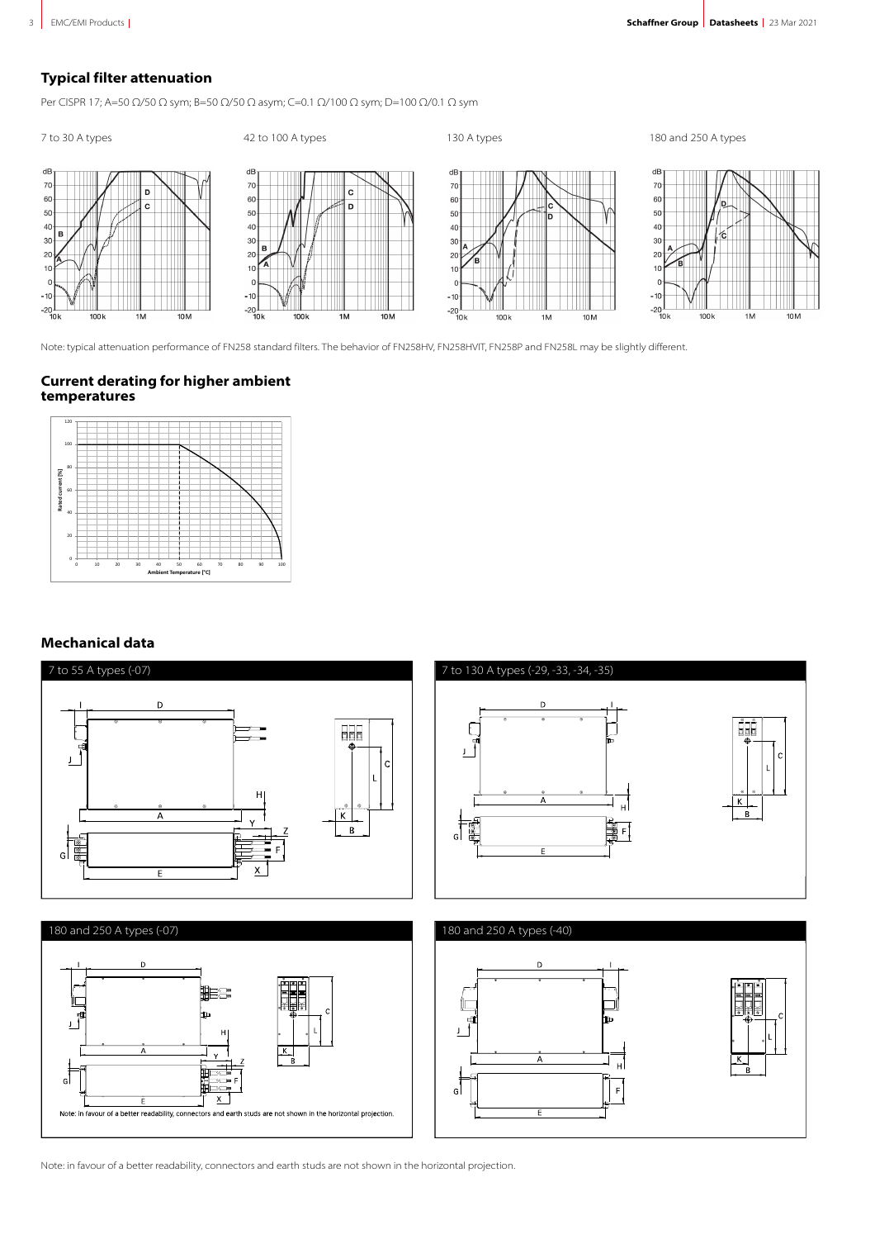## **Typical filter attenuation**

Per CISPR 17; A=50 Ω/50 Ω sym; B=50 Ω/50 Ω asym; C=0.1 Ω/100 Ω sym; D=100 Ω/0.1 Ω sym



Note: typical attenuation performance of FN258 standard filters. The behavior of FN258HV, FN258HVIT, FN258P and FN258L may be slightly different.

#### **Current derating for higher ambient temperatures**



### **Mechanical data**



Note: in favour of a better readability, connectors and earth studs are not shown in the horizontal projection.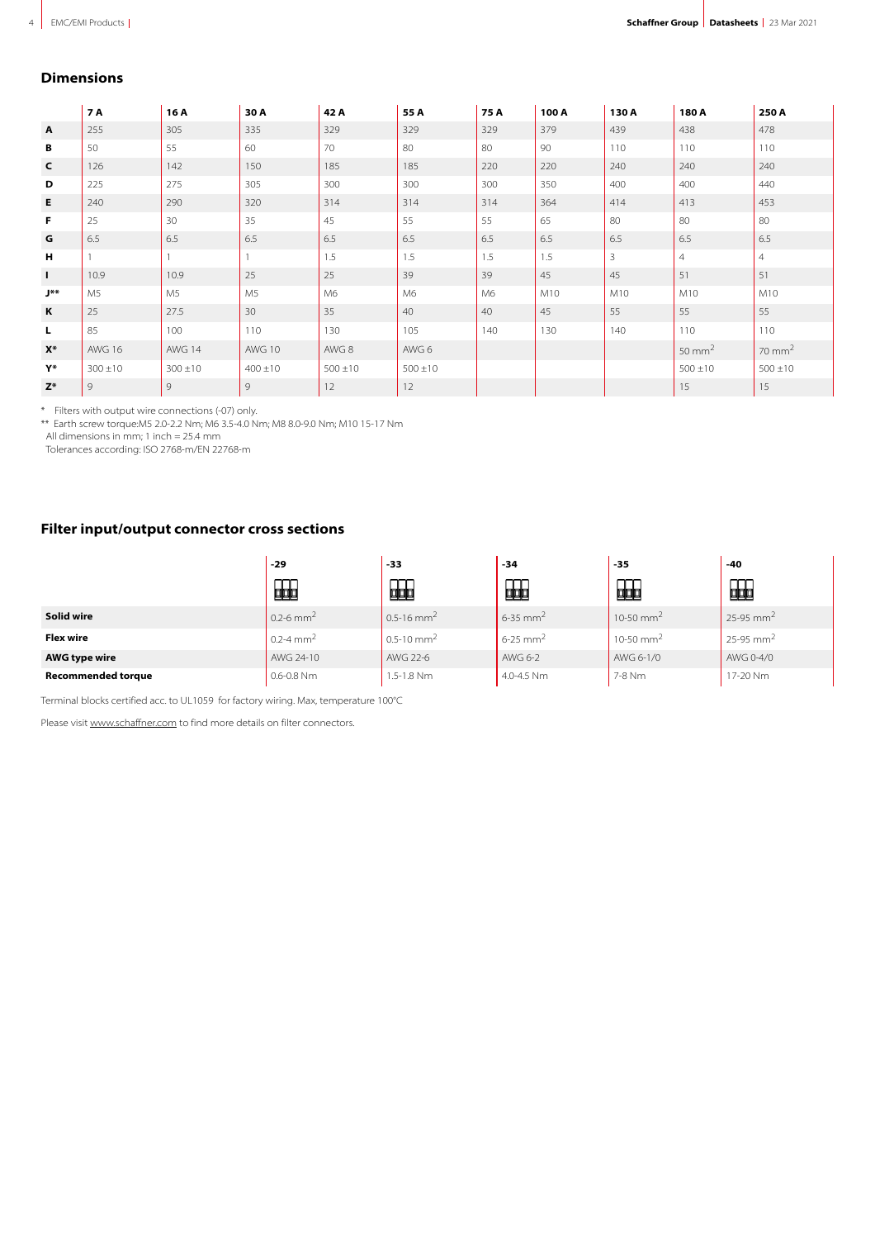#### **Dimensions**

|              | <b>7 A</b>     | 16 A         | 30 A           | 42 A         | 55 A         | 75 A | 100 A | 130 A          | 180 A              | 250 A             |
|--------------|----------------|--------------|----------------|--------------|--------------|------|-------|----------------|--------------------|-------------------|
| A            | 255            | 305          | 335            | 329          | 329          | 329  | 379   | 439            | 438                | 478               |
| В            | 50             | 55           | 60             | 70           | 80           | 80   | 90    | 110            | 110                | 110               |
| $\mathsf{C}$ | 126            | 142          | 150            | 185          | 185          | 220  | 220   | 240            | 240                | 240               |
| D            | 225            | 275          | 305            | 300          | 300          | 300  | 350   | 400            | 400                | 440               |
| Е            | 240            | 290          | 320            | 314          | 314          | 314  | 364   | 414            | 413                | 453               |
| F            | 25             | 30           | 35             | 45           | 55           | 55   | 65    | 80             | 80                 | 80                |
| G            | 6.5            | 6.5          | 6.5            | 6.5          | 6.5          | 6.5  | 6.5   | 6.5            | 6.5                | 6.5               |
| н            |                |              |                | 1.5          | 1.5          | 1.5  | 1.5   | $\overline{3}$ | $\overline{4}$     | $\overline{4}$    |
| $\mathbf{I}$ | 10.9           | 10.9         | 25             | 25           | 39           | 39   | 45    | 45             | 51                 | 51                |
| J**          | M <sub>5</sub> | M5           | M <sub>5</sub> | M6           | M6           | M6   | M10   | M10            | M10                | M10               |
| K            | 25             | 27.5         | 30             | 35           | 40           | 40   | 45    | 55             | 55                 | 55                |
| L.           | 85             | 100          | 110            | 130          | 105          | 140  | 130   | 140            | 110                | 110               |
| $X^*$        | <b>AWG 16</b>  | AWG 14       | AWG 10         | AWG 8        | AWG 6        |      |       |                | 50 mm <sup>2</sup> | $70 \text{ mm}^2$ |
| Y*           | $300 \pm 10$   | $300 \pm 10$ | $400 \pm 10$   | $500 \pm 10$ | $500 \pm 10$ |      |       |                | $500 \pm 10$       | $500 \pm 10$      |
| $Z^*$        | 9              | 9            | 9              | 12           | 12           |      |       |                | 15                 | 15                |

\* Filters with output wire connections (-07) only.

\*\* Earth screw torque:M5 2.0-2.2 Nm; M6 3.5-4.0 Nm; M8 8.0-9.0 Nm; M10 15-17 Nm

All dimensions in mm; 1 inch = 25.4 mm

Tolerances according: ISO 2768-m/EN 22768-m

## **Filter input/output connector cross sections**

|                           | -29                       | -33                         | $-34$                    | $-35$                 | -40                       |
|---------------------------|---------------------------|-----------------------------|--------------------------|-----------------------|---------------------------|
|                           | 甌                         | 的                           | 蛔                        | 品                     | 品                         |
| Solid wire                | $0.2 - 6$ mm <sup>2</sup> | $10.5 - 16$ mm <sup>2</sup> | $6 - 35$ mm <sup>2</sup> | 10-50 mm <sup>2</sup> | $25-95$ mm <sup>2</sup>   |
| <b>Flex wire</b>          | $0.2 - 4$ mm <sup>2</sup> | $0.5 - 10$ mm <sup>2</sup>  | $6 - 25$ mm <sup>2</sup> | 10-50 mm <sup>2</sup> | $25 - 95$ mm <sup>2</sup> |
| <b>AWG type wire</b>      | AWG 24-10                 | AWG 22-6                    | AWG 6-2                  | AWG 6-1/0             | AWG 0-4/0                 |
| <b>Recommended torque</b> | $0.6 - 0.8$ Nm            | 1.5-1.8 Nm                  | 4.0-4.5 Nm               | 7-8 Nm                | 17-20 Nm                  |

Terminal blocks certified acc. to UL1059 for factory wiring. Max, temperature 100°C

Please visit [www.schaffner.com](https://www.schaffner.com) to find more details on filter connectors.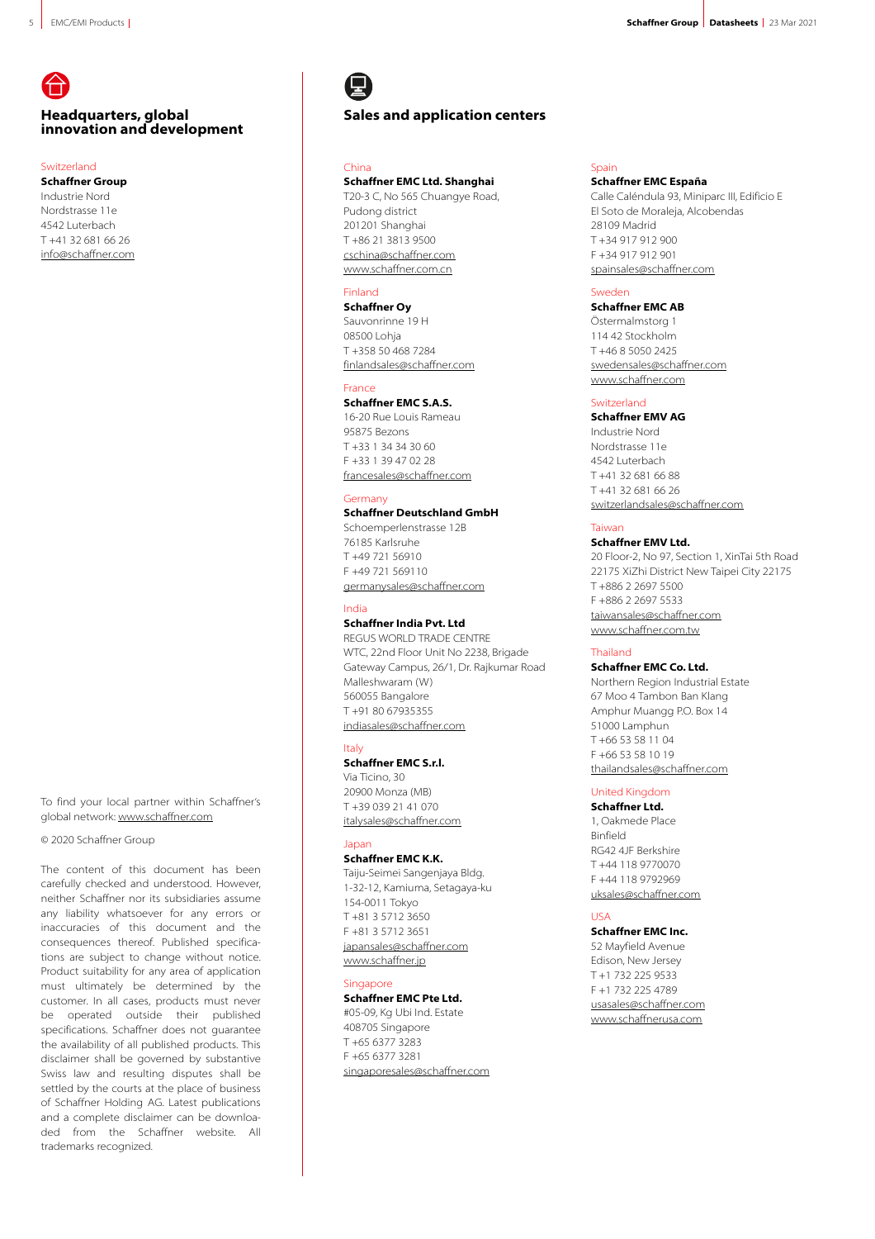## **Headquarters, global innovation and development**

#### Switzerland

**Schaffner Group** Industrie Nord Nordstrasse 11e 4542 Luterbach T +41 32 681 66 26 [info@schaffner.com](mailto:info@schaffner.com)

To find your local partner within Schaffner's global network: [www.schaffner.com](https://schaffner.com/)

#### © 2020 Schaffner Group

The content of this document has been carefully checked and understood. However, neither Schaffner nor its subsidiaries assume any liability whatsoever for any errors or inaccuracies of this document and the consequences thereof. Published specifications are subject to change without notice. Product suitability for any area of application must ultimately be determined by the customer. In all cases, products must never be operated outside their published specifications. Schaffner does not guarantee the availability of all published products. This disclaimer shall be governed by substantive Swiss law and resulting disputes shall be settled by the courts at the place of business of Schaffner Holding AG. Latest publications and a complete disclaimer can be downloaded from the Schaffner website. All trademarks recognized.

## **Sales and application centers**

#### China

#### **Schaffner EMC Ltd. Shanghai**

T20-3 C, No 565 Chuangye Road, Pudong district 201201 Shanghai T +86 21 3813 9500 [cschina@schaffner.com](mailto:cschina@schaffner.com) [www.schaffner.com.cn](http://www.schaffner.com.cn)

#### Finland

**Schaffner Oy** Sauvonrinne 19 H 08500 Lohja T +358 50 468 7284 [finlandsales@schaffner.com](mailto:finlandsales@schaffner.com)

#### France

**Schaffner EMC S.A.S.** 16-20 Rue Louis Rameau 95875 Bezons T +33 1 34 34 30 60  $F + 33139470228$ [francesales@schaffner.com](mailto:francesales@schaffner.com)

#### Germany

**Schaffner Deutschland GmbH** Schoemperlenstrasse 12B 76185 Karlsruhe

T +49 721 56910 F +49 721 569110 [germanysales@schaffner.com](mailto:germanysales@schaffner.com)

#### India

#### **Schaffner India Pvt. Ltd**

REGUS WORLD TRADE CENTRE WTC, 22nd Floor Unit No 2238, Brigade Gateway Campus, 26/1, Dr. Rajkumar Road Malleshwaram (W) 560055 Bangalore T +91 80 67935355 [indiasales@schaffner.com](mailto:indiasales@schaffner.com)

#### Italy

**Schaffner EMC S.r.l.** Via Ticino, 30 20900 Monza (MB) T +39 039 21 41 070 [italysales@schaffner.com](mailto:italysales@schaffner.com)

#### Japan

**Schaffner EMC K.K.** Taiju-Seimei Sangenjaya Bldg. 1-32-12, Kamiuma, Setagaya-ku 154-0011 Tokyo T +81 3 5712 3650 F +81 3 5712 3651 [japansales@schaffner.com](mailto:japansales@schaffner.com) [www.schaffner.jp](http://www.schaffner.jp)

#### Singapore

**Schaffner EMC Pte Ltd.** #05-09, Kg Ubi Ind. Estate 408705 Singapore T +65 6377 3283 F +65 6377 3281 [singaporesales@schaffner.com](mailto:singaporesales@schaffner.com)

#### Spain **Schaffner EMC España**

Calle Caléndula 93, Miniparc III, Edificio E El Soto de Moraleja, Alcobendas 28109 Madrid T +34 917 912 900 F +34 917 912 901 [spainsales@schaffner.com](mailto:spainsales@schaffner.com)

#### Sweden

#### **Schaffner EMC AB**

Östermalmstorg 1 114 42 Stockholm T +46 8 5050 2425 [swedensales@schaffner.com](mailto:swedensales@schaffner.com) [www.schaffner.com](http://www.schaffner.com)

#### Switzerland

**Schaffner EMV AG** Industrie Nord Nordstrasse 11e 4542 Luterbach T +41 32 681 66 88 T +41 32 681 66 26 [switzerlandsales@schaffner.com](mailto:switzerlandsales@schaffner.com)

#### Taiwan

#### **Schaffner EMV Ltd.**

20 Floor-2, No 97, Section 1, XinTai 5th Road 22175 XiZhi District New Taipei City 22175 T +886 2 2697 5500 F +886 2 2697 5533 [taiwansales@schaffner.com](mailto:taiwansales@schaffner.com) [www.schaffner.com.tw](http://www.schaffner.com.tw)

#### Thailand

**Schaffner EMC Co. Ltd.**

Northern Region Industrial Estate 67 Moo 4 Tambon Ban Klang Amphur Muangg P.O. Box 14 51000 Lamphun T +66 53 58 11 04 F +66 53 58 10 19 [thailandsales@schaffner.com](mailto:thailandsales@schaffner.com)

#### United Kingdom

**Schaffner Ltd.** 1, Oakmede Place Binfield RG42 4JF Berkshire T +44 118 9770070 F +44 118 9792969

[uksales@schaffner.com](mailto:uksales@schaffner.com)

#### USA

**Schaffner EMC Inc.** 52 Mayfield Avenue Edison, New Jersey T +1 732 225 9533 F +1 732 225 4789 [usasales@schaffner.com](mailto:usasales@schaffner.com) [www.schaffnerusa.com](https://www.schaffnerusa.com)